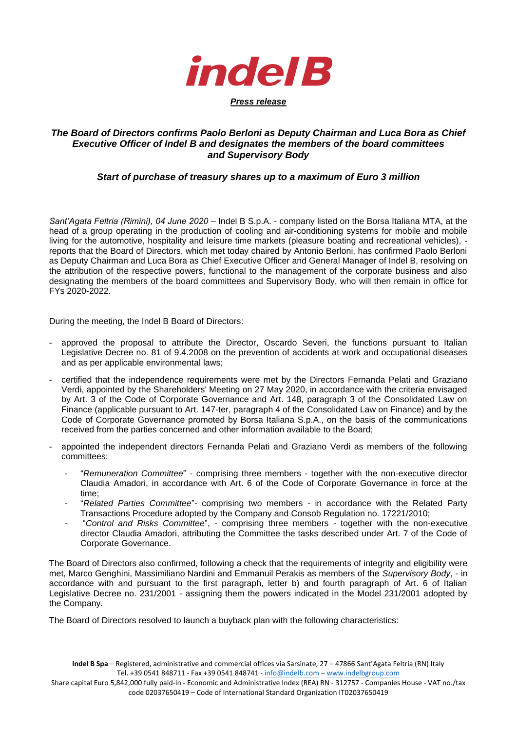

## *The Board of Directors confirms Paolo Berloni as Deputy Chairman and Luca Bora as Chief Executive Officer of Indel B and designates the members of the board committees and Supervisory Body*

## *Start of purchase of treasury shares up to a maximum of Euro 3 million*

*Sant'Agata Feltria (Rimini), 04 June 2020* – Indel B S.p.A. - company listed on the Borsa Italiana MTA, at the head of a group operating in the production of cooling and air-conditioning systems for mobile and mobile living for the automotive, hospitality and leisure time markets (pleasure boating and recreational vehicles), reports that the Board of Directors, which met today chaired by Antonio Berloni, has confirmed Paolo Berloni as Deputy Chairman and Luca Bora as Chief Executive Officer and General Manager of Indel B, resolving on the attribution of the respective powers, functional to the management of the corporate business and also designating the members of the board committees and Supervisory Body, who will then remain in office for FYs 2020-2022.

During the meeting, the Indel B Board of Directors:

- approved the proposal to attribute the Director, Oscardo Severi, the functions pursuant to Italian Legislative Decree no. 81 of 9.4.2008 on the prevention of accidents at work and occupational diseases and as per applicable environmental laws;
- certified that the independence requirements were met by the Directors Fernanda Pelati and Graziano Verdi, appointed by the Shareholders' Meeting on 27 May 2020, in accordance with the criteria envisaged by Art. 3 of the Code of Corporate Governance and Art. 148, paragraph 3 of the Consolidated Law on Finance (applicable pursuant to Art. 147-ter, paragraph 4 of the Consolidated Law on Finance) and by the Code of Corporate Governance promoted by Borsa Italiana S.p.A., on the basis of the communications received from the parties concerned and other information available to the Board;
- appointed the independent directors Fernanda Pelati and Graziano Verdi as members of the following committees:
	- "*Remuneration Committee*" comprising three members together with the non-executive director Claudia Amadori, in accordance with Art. 6 of the Code of Corporate Governance in force at the time;
	- "*Related Parties Committee*"- comprising two members in accordance with the Related Party Transactions Procedure adopted by the Company and Consob Regulation no. 17221/2010;
	- "*Control and Risks Committee*", comprising three members together with the non-executive director Claudia Amadori, attributing the Committee the tasks described under Art. 7 of the Code of Corporate Governance.

The Board of Directors also confirmed, following a check that the requirements of integrity and eligibility were met, Marco Genghini, Massimiliano Nardini and Emmanuil Perakis as members of the *Supervisory Body*, - in accordance with and pursuant to the first paragraph, letter b) and fourth paragraph of Art. 6 of Italian Legislative Decree no. 231/2001 - assigning them the powers indicated in the Model 231/2001 adopted by the Company.

The Board of Directors resolved to launch a buyback plan with the following characteristics:

Share capital Euro 5,842,000 fully paid-in - Economic and Administrative Index (REA) RN - 312757 - Companies House - VAT no./tax code 02037650419 – Code of International Standard Organization IT02037650419